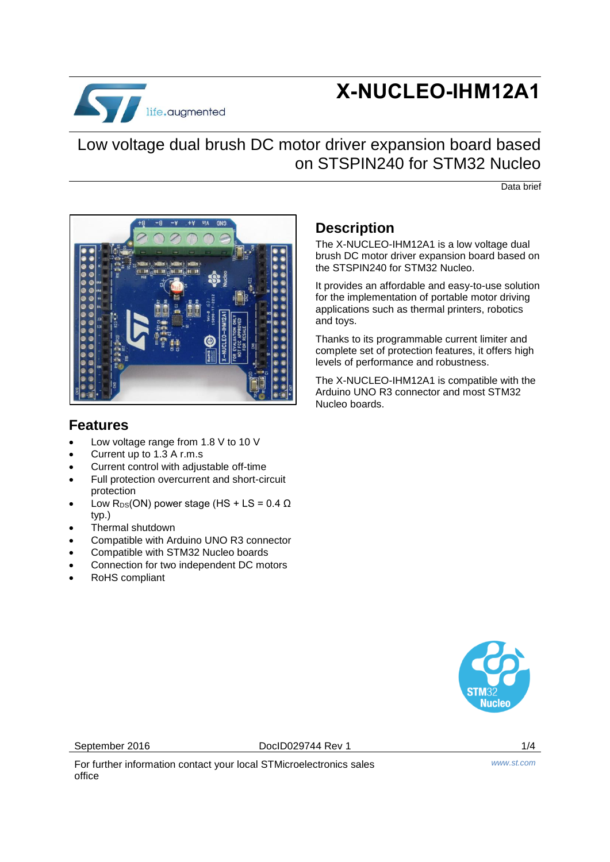

# **X-NUCLEO-IHM12A1**

# Low voltage dual brush DC motor driver expansion board based on STSPIN240 for STM32 Nucleo

Data brief



#### **Features**

- Low voltage range from 1.8 V to 10 V
- Current up to 1.3 A r.m.s
- Current control with adjustable off-time
- Full protection overcurrent and short-circuit protection
- Low  $R_{DS}(ON)$  power stage (HS + LS = 0.4  $\Omega$ ) typ.)
- Thermal shutdown
- Compatible with Arduino UNO R3 connector
- Compatible with STM32 Nucleo boards
- Connection for two independent DC motors
- RoHS compliant

### **Description**

The X-NUCLEO-IHM12A1 is a low voltage dual brush DC motor driver expansion board based on the STSPIN240 for STM32 Nucleo.

It provides an affordable and easy-to-use solution for the implementation of portable motor driving applications such as thermal printers, robotics and toys.

Thanks to its programmable current limiter and complete set of protection features, it offers high levels of performance and robustness.

The X-NUCLEO-IHM12A1 is compatible with the Arduino UNO R3 connector and most STM32 Nucleo boards.



September 2016 **DociD029744 Rev 1** 2016 1/4

For further information contact your local STMicroelectronics sales office

*www.st.com*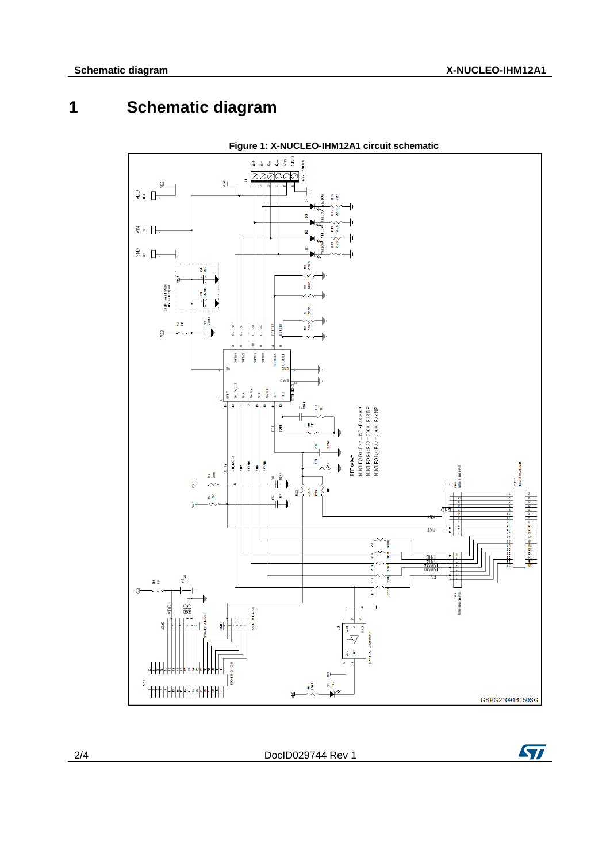# **1 Schematic diagram**



**Figure 1: X-NUCLEO-IHM12A1 circuit schematic**

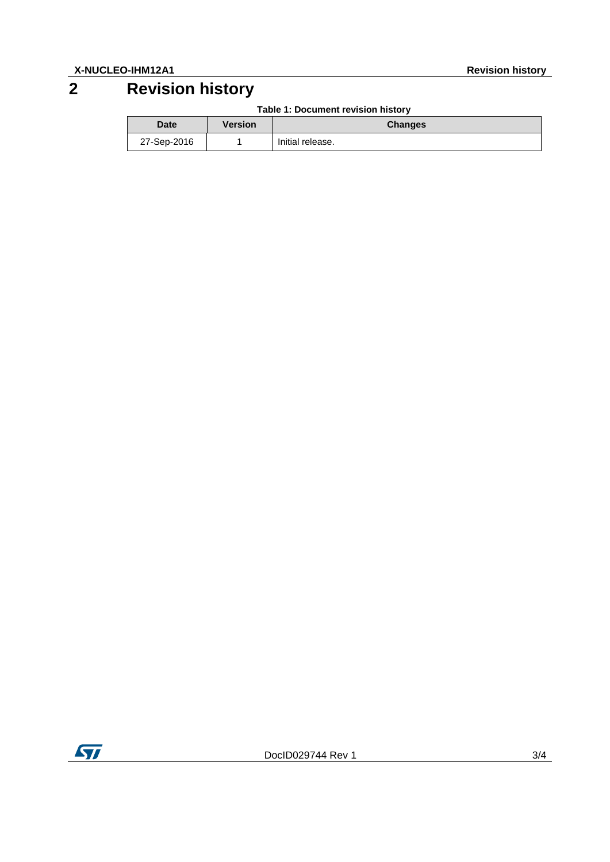# **2 Revision history**

**Table 1: Document revision history**

| <b>Date</b> | Version | <b>Changes</b>   |
|-------------|---------|------------------|
| 27-Sep-2016 |         | Initial release. |